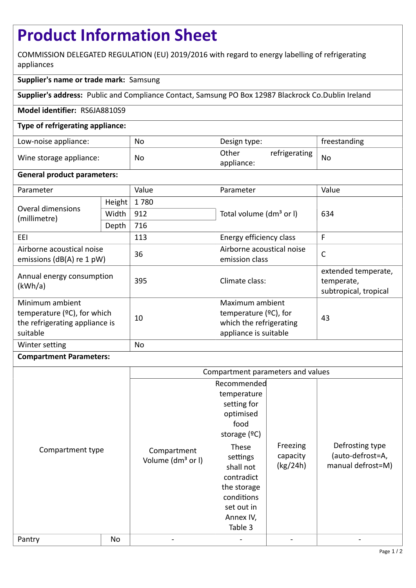# **Product Information Sheet**

COMMISSION DELEGATED REGULATION (EU) 2019/2016 with regard to energy labelling of refrigerating appliances

## **Supplier's name or trade mark:** Samsung

**Supplier's address:** Public and Compliance Contact, Samsung PO Box 12987 Blackrock Co.Dublin Ireland

### **Model identifier:** RS6JA8810S9

### **Type of refrigerating appliance:**

| Low-noise appliance:    | No | Design type:        |               | freestanding |
|-------------------------|----|---------------------|---------------|--------------|
| Wine storage appliance: | No | Other<br>appliance: | refrigerating | <b>No</b>    |

### **General product parameters:**

| Parameter                                                                                              |        | Value | Parameter                                                                                       | Value                                                      |
|--------------------------------------------------------------------------------------------------------|--------|-------|-------------------------------------------------------------------------------------------------|------------------------------------------------------------|
| <b>Overal dimensions</b><br>(millimetre)                                                               | Height | 1780  |                                                                                                 | 634                                                        |
|                                                                                                        | Width  | 912   | Total volume (dm <sup>3</sup> or I)                                                             |                                                            |
|                                                                                                        | Depth  | 716   |                                                                                                 |                                                            |
| EEI                                                                                                    |        | 113   | Energy efficiency class                                                                         | F                                                          |
| Airborne acoustical noise<br>emissions ( $dB(A)$ re 1 pW)                                              |        | 36    | Airborne acoustical noise<br>emission class                                                     | $\mathsf{C}$                                               |
| Annual energy consumption<br>(kWh/a)                                                                   |        | 395   | Climate class:                                                                                  | extended temperate,<br>temperate,<br>subtropical, tropical |
| Minimum ambient<br>temperature ( $\degree$ C), for which<br>the refrigerating appliance is<br>suitable |        | 10    | Maximum ambient<br>temperature $(2C)$ , for<br>which the refrigerating<br>appliance is suitable | 43                                                         |
| Winter setting                                                                                         |        | No    |                                                                                                 |                                                            |

### **Compartment Parameters:**

|                  |    | Compartment parameters and values            |                                                                                                                                  |                                  |                                                          |
|------------------|----|----------------------------------------------|----------------------------------------------------------------------------------------------------------------------------------|----------------------------------|----------------------------------------------------------|
| Compartment type |    | Compartment<br>Volume (dm <sup>3</sup> or I) | Recommended<br>temperature<br>setting for<br>optimised<br>food<br>storage $(°C)$<br>These<br>settings<br>shall not<br>contradict | Freezing<br>capacity<br>(kg/24h) | Defrosting type<br>(auto-defrost=A,<br>manual defrost=M) |
|                  |    |                                              | the storage<br>conditions<br>set out in<br>Annex IV,<br>Table 3                                                                  |                                  |                                                          |
| Pantry           | No |                                              |                                                                                                                                  |                                  |                                                          |